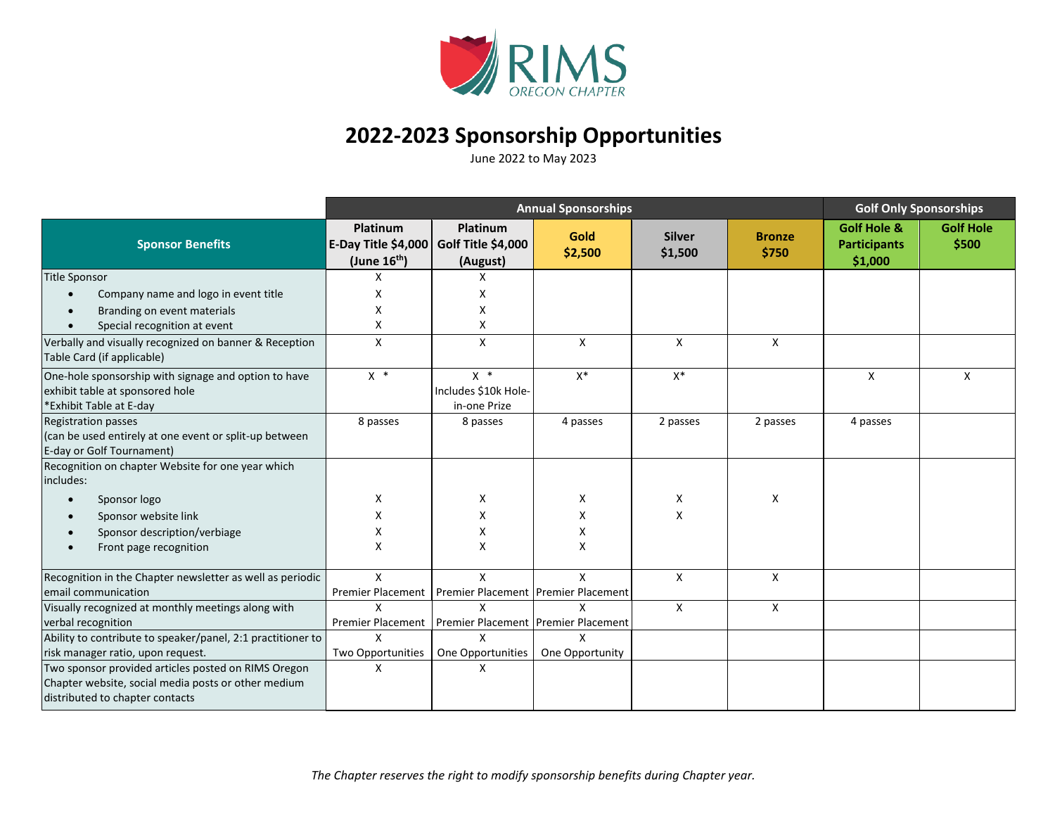

## **2022-2023 Sponsorship Opportunities**

June 2022 to May 2023

|                                                                                      | <b>Annual Sponsorships</b>                           |                                            |                 |                          |                        | <b>Golf Only Sponsorships</b>                            |                           |
|--------------------------------------------------------------------------------------|------------------------------------------------------|--------------------------------------------|-----------------|--------------------------|------------------------|----------------------------------------------------------|---------------------------|
| <b>Sponsor Benefits</b>                                                              | Platinum<br>E-Day Title \$4,000<br>(June $16^{th}$ ) | Platinum<br>Golf Title \$4,000<br>(August) | Gold<br>\$2,500 | <b>Silver</b><br>\$1,500 | <b>Bronze</b><br>\$750 | <b>Golf Hole &amp;</b><br><b>Participants</b><br>\$1,000 | <b>Golf Hole</b><br>\$500 |
| <b>Title Sponsor</b>                                                                 | X                                                    | X                                          |                 |                          |                        |                                                          |                           |
| Company name and logo in event title<br>$\bullet$                                    | X                                                    | X                                          |                 |                          |                        |                                                          |                           |
| Branding on event materials<br>$\bullet$                                             | x                                                    | Χ                                          |                 |                          |                        |                                                          |                           |
| Special recognition at event                                                         | X                                                    | Χ                                          |                 |                          |                        |                                                          |                           |
| Verbally and visually recognized on banner & Reception<br>Table Card (if applicable) | X                                                    | X                                          | X               | X                        | X                      |                                                          |                           |
| One-hole sponsorship with signage and option to have                                 | $X *$                                                | $X *$                                      | $X^*$           | $X^*$                    |                        | X                                                        | X                         |
| exhibit table at sponsored hole                                                      |                                                      | Includes \$10k Hole-                       |                 |                          |                        |                                                          |                           |
| *Exhibit Table at E-day                                                              |                                                      | in-one Prize                               |                 |                          |                        |                                                          |                           |
| <b>Registration passes</b>                                                           | 8 passes                                             | 8 passes                                   | 4 passes        | 2 passes                 | 2 passes               | 4 passes                                                 |                           |
| (can be used entirely at one event or split-up between                               |                                                      |                                            |                 |                          |                        |                                                          |                           |
| E-day or Golf Tournament)                                                            |                                                      |                                            |                 |                          |                        |                                                          |                           |
| Recognition on chapter Website for one year which<br>includes:                       |                                                      |                                            |                 |                          |                        |                                                          |                           |
| Sponsor logo<br>$\bullet$                                                            | X                                                    | X                                          | X               | Χ                        | X                      |                                                          |                           |
| Sponsor website link<br>$\bullet$                                                    |                                                      | X                                          | X               | X                        |                        |                                                          |                           |
| Sponsor description/verbiage                                                         | x                                                    | Χ                                          | Χ               |                          |                        |                                                          |                           |
| Front page recognition<br>$\bullet$                                                  | X                                                    | X                                          | X               |                          |                        |                                                          |                           |
| Recognition in the Chapter newsletter as well as periodic                            | $\mathsf{x}$                                         | X                                          | $\mathsf{x}$    | $\mathsf{X}$             | $\mathsf{X}$           |                                                          |                           |
| email communication                                                                  | <b>Premier Placement</b>                             | Premier Placement   Premier Placement      |                 |                          |                        |                                                          |                           |
| Visually recognized at monthly meetings along with                                   | X                                                    | X                                          | X               | X                        | X                      |                                                          |                           |
| verbal recognition                                                                   | Premier Placement                                    | Premier Placement   Premier Placement      |                 |                          |                        |                                                          |                           |
| Ability to contribute to speaker/panel, 2:1 practitioner to                          | X                                                    | X                                          | X               |                          |                        |                                                          |                           |
| risk manager ratio, upon request.                                                    | Two Opportunities                                    | One Opportunities                          | One Opportunity |                          |                        |                                                          |                           |
| Two sponsor provided articles posted on RIMS Oregon                                  | X                                                    | X                                          |                 |                          |                        |                                                          |                           |
| Chapter website, social media posts or other medium                                  |                                                      |                                            |                 |                          |                        |                                                          |                           |
| distributed to chapter contacts                                                      |                                                      |                                            |                 |                          |                        |                                                          |                           |